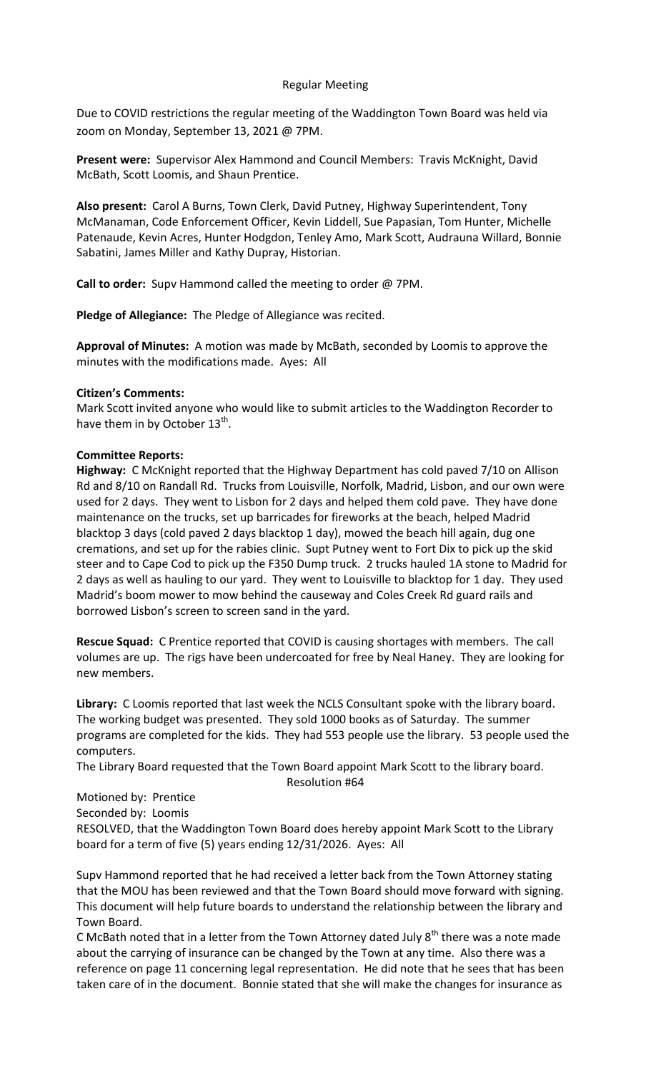## Regular Meeting

Due to COVID restrictions the regular meeting of the Waddington Town Board was held via zoom on Monday, September 13, 2021 @ 7PM.

**Present were:** Supervisor Alex Hammond and Council Members: Travis McKnight, David McBath, Scott Loomis, and Shaun Prentice.

**Also present:** Carol A Burns, Town Clerk, David Putney, Highway Superintendent, Tony McManaman, Code Enforcement Officer, Kevin Liddell, Sue Papasian, Tom Hunter, Michelle Patenaude, Kevin Acres, Hunter Hodgdon, Tenley Amo, Mark Scott, Audrauna Willard, Bonnie Sabatini, James Miller and Kathy Dupray, Historian.

**Call to order:** Supv Hammond called the meeting to order @ 7PM.

**Pledge of Allegiance:** The Pledge of Allegiance was recited.

**Approval of Minutes:** A motion was made by McBath, seconded by Loomis to approve the minutes with the modifications made. Ayes: All

## **Citizen's Comments:**

Mark Scott invited anyone who would like to submit articles to the Waddington Recorder to have them in by October 13<sup>th</sup>.

## **Committee Reports:**

**Highway:** C McKnight reported that the Highway Department has cold paved 7/10 on Allison Rd and 8/10 on Randall Rd. Trucks from Louisville, Norfolk, Madrid, Lisbon, and our own were used for 2 days. They went to Lisbon for 2 days and helped them cold pave. They have done maintenance on the trucks, set up barricades for fireworks at the beach, helped Madrid blacktop 3 days (cold paved 2 days blacktop 1 day), mowed the beach hill again, dug one cremations, and set up for the rabies clinic. Supt Putney went to Fort Dix to pick up the skid steer and to Cape Cod to pick up the F350 Dump truck. 2 trucks hauled 1A stone to Madrid for 2 days as well as hauling to our yard. They went to Louisville to blacktop for 1 day. They used Madrid's boom mower to mow behind the causeway and Coles Creek Rd guard rails and borrowed Lisbon's screen to screen sand in the yard.

**Rescue Squad:** C Prentice reported that COVID is causing shortages with members. The call volumes are up. The rigs have been undercoated for free by Neal Haney. They are looking for new members.

**Library:** C Loomis reported that last week the NCLS Consultant spoke with the library board. The working budget was presented. They sold 1000 books as of Saturday. The summer programs are completed for the kids. They had 553 people use the library. 53 people used the computers.

The Library Board requested that the Town Board appoint Mark Scott to the library board.

#### Resolution #64

# Motioned by: Prentice

Seconded by: Loomis

RESOLVED, that the Waddington Town Board does hereby appoint Mark Scott to the Library board for a term of five (5) years ending 12/31/2026. Ayes: All

Supv Hammond reported that he had received a letter back from the Town Attorney stating that the MOU has been reviewed and that the Town Board should move forward with signing. This document will help future boards to understand the relationship between the library and Town Board.

C McBath noted that in a letter from the Town Attorney dated July  $8<sup>th</sup>$  there was a note made about the carrying of insurance can be changed by the Town at any time. Also there was a reference on page 11 concerning legal representation. He did note that he sees that has been taken care of in the document. Bonnie stated that she will make the changes for insurance as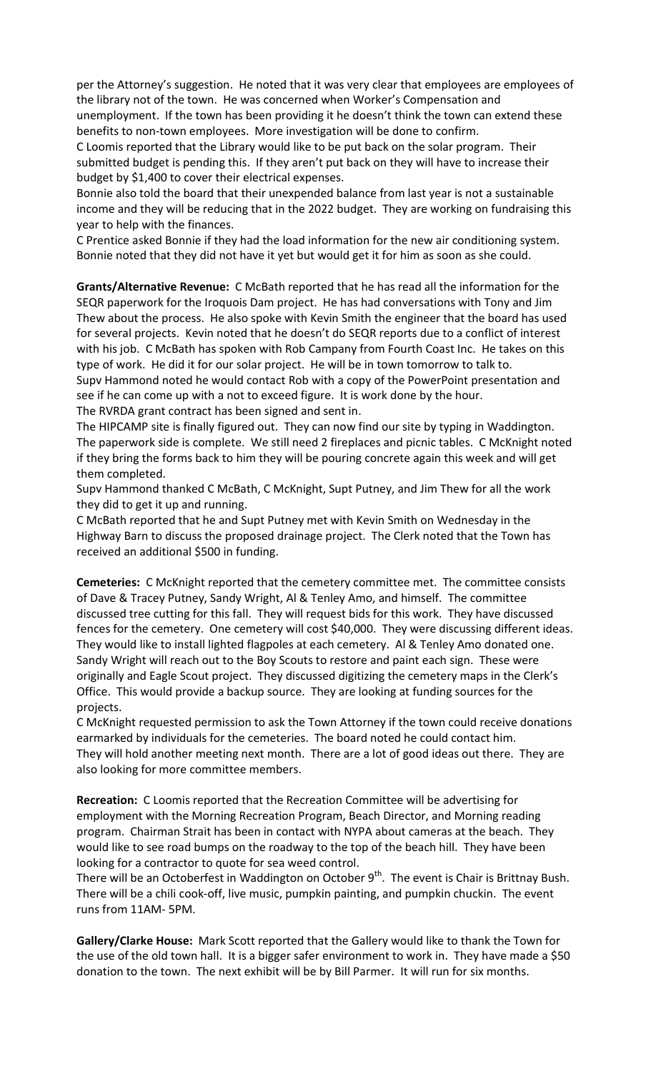per the Attorney's suggestion. He noted that it was very clear that employees are employees of the library not of the town. He was concerned when Worker's Compensation and unemployment. If the town has been providing it he doesn't think the town can extend these benefits to non-town employees. More investigation will be done to confirm.

C Loomis reported that the Library would like to be put back on the solar program. Their submitted budget is pending this. If they aren't put back on they will have to increase their budget by \$1,400 to cover their electrical expenses.

Bonnie also told the board that their unexpended balance from last year is not a sustainable income and they will be reducing that in the 2022 budget. They are working on fundraising this year to help with the finances.

C Prentice asked Bonnie if they had the load information for the new air conditioning system. Bonnie noted that they did not have it yet but would get it for him as soon as she could.

**Grants/Alternative Revenue:** C McBath reported that he has read all the information for the SEQR paperwork for the Iroquois Dam project. He has had conversations with Tony and Jim Thew about the process. He also spoke with Kevin Smith the engineer that the board has used for several projects. Kevin noted that he doesn't do SEQR reports due to a conflict of interest with his job. C McBath has spoken with Rob Campany from Fourth Coast Inc. He takes on this type of work. He did it for our solar project. He will be in town tomorrow to talk to. Supv Hammond noted he would contact Rob with a copy of the PowerPoint presentation and see if he can come up with a not to exceed figure. It is work done by the hour. The RVRDA grant contract has been signed and sent in.

The HIPCAMP site is finally figured out. They can now find our site by typing in Waddington. The paperwork side is complete. We still need 2 fireplaces and picnic tables. C McKnight noted if they bring the forms back to him they will be pouring concrete again this week and will get them completed.

Supv Hammond thanked C McBath, C McKnight, Supt Putney, and Jim Thew for all the work they did to get it up and running.

C McBath reported that he and Supt Putney met with Kevin Smith on Wednesday in the Highway Barn to discuss the proposed drainage project. The Clerk noted that the Town has received an additional \$500 in funding.

**Cemeteries:** C McKnight reported that the cemetery committee met. The committee consists of Dave & Tracey Putney, Sandy Wright, Al & Tenley Amo, and himself. The committee discussed tree cutting for this fall. They will request bids for this work. They have discussed fences for the cemetery. One cemetery will cost \$40,000. They were discussing different ideas. They would like to install lighted flagpoles at each cemetery. Al & Tenley Amo donated one. Sandy Wright will reach out to the Boy Scouts to restore and paint each sign. These were originally and Eagle Scout project. They discussed digitizing the cemetery maps in the Clerk's Office. This would provide a backup source. They are looking at funding sources for the projects.

C McKnight requested permission to ask the Town Attorney if the town could receive donations earmarked by individuals for the cemeteries. The board noted he could contact him. They will hold another meeting next month. There are a lot of good ideas out there. They are also looking for more committee members.

**Recreation:** C Loomis reported that the Recreation Committee will be advertising for employment with the Morning Recreation Program, Beach Director, and Morning reading program. Chairman Strait has been in contact with NYPA about cameras at the beach. They would like to see road bumps on the roadway to the top of the beach hill. They have been looking for a contractor to quote for sea weed control.

There will be an Octoberfest in Waddington on October  $9<sup>th</sup>$ . The event is Chair is Brittnay Bush. There will be a chili cook-off, live music, pumpkin painting, and pumpkin chuckin. The event runs from 11AM- 5PM.

**Gallery/Clarke House:** Mark Scott reported that the Gallery would like to thank the Town for the use of the old town hall. It is a bigger safer environment to work in. They have made a \$50 donation to the town. The next exhibit will be by Bill Parmer. It will run for six months.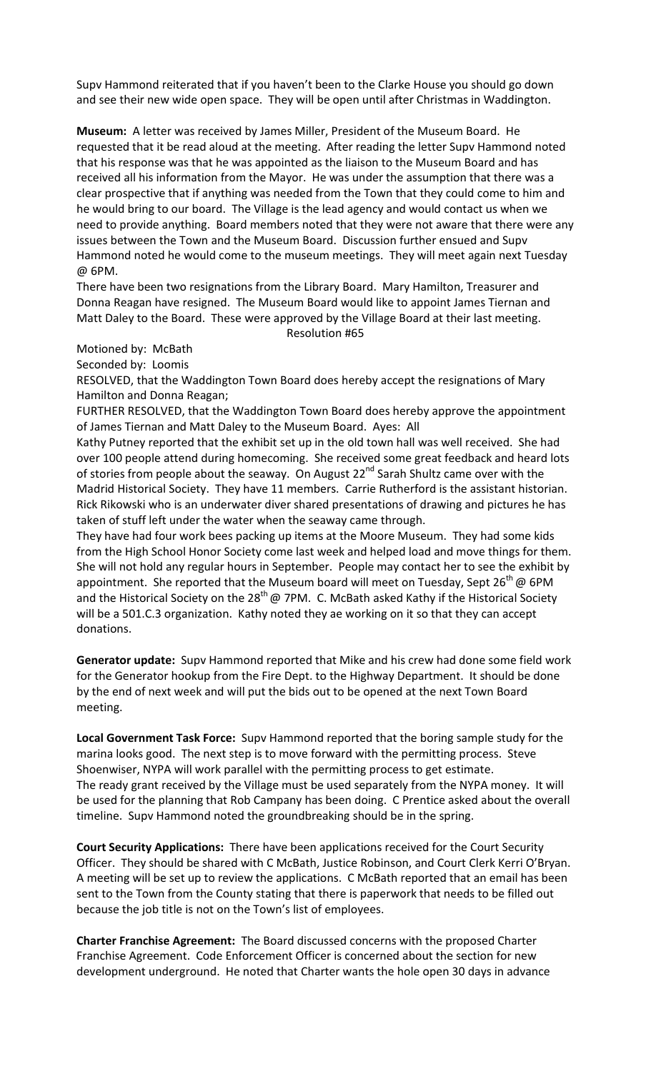Supv Hammond reiterated that if you haven't been to the Clarke House you should go down and see their new wide open space. They will be open until after Christmas in Waddington.

**Museum:** A letter was received by James Miller, President of the Museum Board. He requested that it be read aloud at the meeting. After reading the letter Supv Hammond noted that his response was that he was appointed as the liaison to the Museum Board and has received all his information from the Mayor. He was under the assumption that there was a clear prospective that if anything was needed from the Town that they could come to him and he would bring to our board. The Village is the lead agency and would contact us when we need to provide anything. Board members noted that they were not aware that there were any issues between the Town and the Museum Board. Discussion further ensued and Supv Hammond noted he would come to the museum meetings. They will meet again next Tuesday @ 6PM.

There have been two resignations from the Library Board. Mary Hamilton, Treasurer and Donna Reagan have resigned. The Museum Board would like to appoint James Tiernan and Matt Daley to the Board. These were approved by the Village Board at their last meeting.

Resolution #65

Motioned by: McBath

Seconded by: Loomis

RESOLVED, that the Waddington Town Board does hereby accept the resignations of Mary Hamilton and Donna Reagan;

FURTHER RESOLVED, that the Waddington Town Board does hereby approve the appointment of James Tiernan and Matt Daley to the Museum Board. Ayes: All

Kathy Putney reported that the exhibit set up in the old town hall was well received. She had over 100 people attend during homecoming. She received some great feedback and heard lots of stories from people about the seaway. On August 22<sup>nd</sup> Sarah Shultz came over with the Madrid Historical Society. They have 11 members. Carrie Rutherford is the assistant historian. Rick Rikowski who is an underwater diver shared presentations of drawing and pictures he has taken of stuff left under the water when the seaway came through.

They have had four work bees packing up items at the Moore Museum. They had some kids from the High School Honor Society come last week and helped load and move things for them. She will not hold any regular hours in September. People may contact her to see the exhibit by appointment. She reported that the Museum board will meet on Tuesday, Sept 26<sup>th</sup> @ 6PM and the Historical Society on the  $28^{th}$  @ 7PM. C. McBath asked Kathy if the Historical Society will be a 501.C.3 organization. Kathy noted they ae working on it so that they can accept donations.

**Generator update:** Supv Hammond reported that Mike and his crew had done some field work for the Generator hookup from the Fire Dept. to the Highway Department. It should be done by the end of next week and will put the bids out to be opened at the next Town Board meeting.

**Local Government Task Force:** Supv Hammond reported that the boring sample study for the marina looks good. The next step is to move forward with the permitting process. Steve Shoenwiser, NYPA will work parallel with the permitting process to get estimate. The ready grant received by the Village must be used separately from the NYPA money. It will be used for the planning that Rob Campany has been doing. C Prentice asked about the overall timeline. Supv Hammond noted the groundbreaking should be in the spring.

**Court Security Applications:** There have been applications received for the Court Security Officer. They should be shared with C McBath, Justice Robinson, and Court Clerk Kerri O'Bryan. A meeting will be set up to review the applications. C McBath reported that an email has been sent to the Town from the County stating that there is paperwork that needs to be filled out because the job title is not on the Town's list of employees.

**Charter Franchise Agreement:** The Board discussed concerns with the proposed Charter Franchise Agreement. Code Enforcement Officer is concerned about the section for new development underground. He noted that Charter wants the hole open 30 days in advance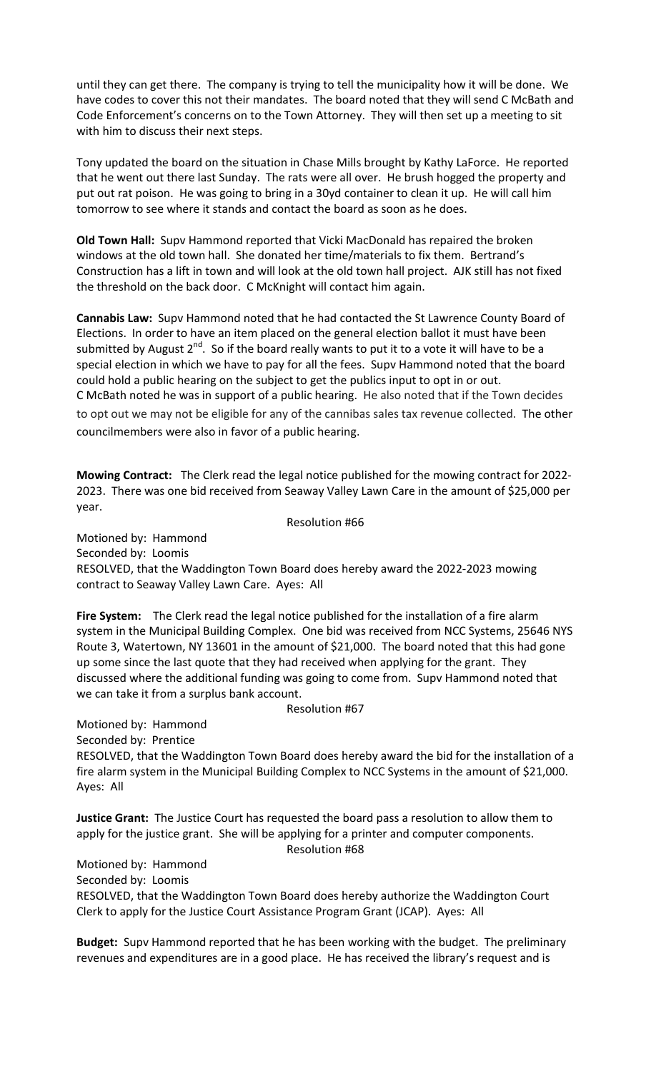until they can get there. The company is trying to tell the municipality how it will be done. We have codes to cover this not their mandates. The board noted that they will send C McBath and Code Enforcement's concerns on to the Town Attorney. They will then set up a meeting to sit with him to discuss their next steps.

Tony updated the board on the situation in Chase Mills brought by Kathy LaForce. He reported that he went out there last Sunday. The rats were all over. He brush hogged the property and put out rat poison. He was going to bring in a 30yd container to clean it up. He will call him tomorrow to see where it stands and contact the board as soon as he does.

**Old Town Hall:** Supv Hammond reported that Vicki MacDonald has repaired the broken windows at the old town hall. She donated her time/materials to fix them. Bertrand's Construction has a lift in town and will look at the old town hall project. AJK still has not fixed the threshold on the back door. C McKnight will contact him again.

**Cannabis Law:** Supv Hammond noted that he had contacted the St Lawrence County Board of Elections. In order to have an item placed on the general election ballot it must have been submitted by August  $2^{nd}$ . So if the board really wants to put it to a vote it will have to be a special election in which we have to pay for all the fees. Supv Hammond noted that the board could hold a public hearing on the subject to get the publics input to opt in or out. C McBath noted he was in support of a public hearing. He also noted that if the Town decides to opt out we may not be eligible for any of the cannibas sales tax revenue collected. The other councilmembers were also in favor of a public hearing.

**Mowing Contract:** The Clerk read the legal notice published for the mowing contract for 2022- 2023. There was one bid received from Seaway Valley Lawn Care in the amount of \$25,000 per year.

Resolution #66

Motioned by: Hammond Seconded by: Loomis RESOLVED, that the Waddington Town Board does hereby award the 2022-2023 mowing contract to Seaway Valley Lawn Care. Ayes: All

**Fire System:** The Clerk read the legal notice published for the installation of a fire alarm system in the Municipal Building Complex. One bid was received from NCC Systems, 25646 NYS Route 3, Watertown, NY 13601 in the amount of \$21,000. The board noted that this had gone up some since the last quote that they had received when applying for the grant. They discussed where the additional funding was going to come from. Supv Hammond noted that we can take it from a surplus bank account.

Resolution #67

Motioned by: Hammond

Seconded by: Prentice

RESOLVED, that the Waddington Town Board does hereby award the bid for the installation of a fire alarm system in the Municipal Building Complex to NCC Systems in the amount of \$21,000. Ayes: All

**Justice Grant:** The Justice Court has requested the board pass a resolution to allow them to apply for the justice grant. She will be applying for a printer and computer components.

Resolution #68

Motioned by: Hammond

Seconded by: Loomis

RESOLVED, that the Waddington Town Board does hereby authorize the Waddington Court Clerk to apply for the Justice Court Assistance Program Grant (JCAP). Ayes: All

**Budget:** Supv Hammond reported that he has been working with the budget. The preliminary revenues and expenditures are in a good place. He has received the library's request and is